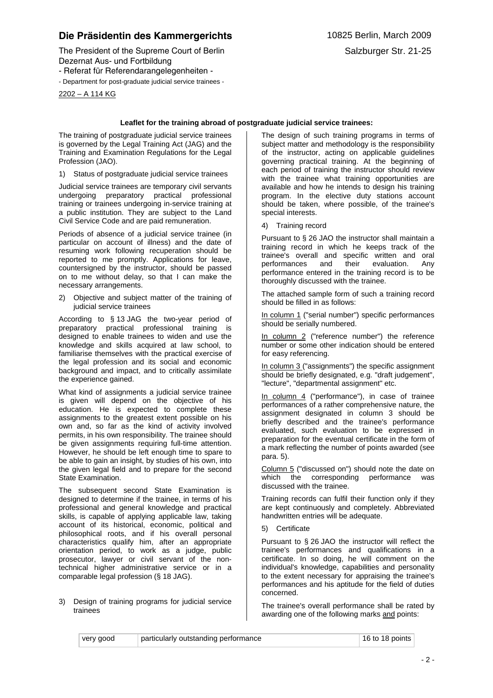## **Die Präsidentin des Kammergerichts** 10825 Berlin, March 2009

- Referat für Referendarangelegenheiten -

- Department for post-graduate judicial service trainees -

2202 – A 114 KG

## **Leaflet for the training abroad of postgraduate judicial service trainees:**

The training of postgraduate judicial service trainees is governed by the Legal Training Act (JAG) and the Training and Examination Regulations for the Legal Profession (JAO).

1) Status of postgraduate judicial service trainees

Judicial service trainees are temporary civil servants undergoing preparatory practical professional training or trainees undergoing in-service training at a public institution. They are subject to the Land Civil Service Code and are paid remuneration.

Periods of absence of a judicial service trainee (in particular on account of illness) and the date of resuming work following recuperation should be reported to me promptly. Applications for leave, countersigned by the instructor, should be passed on to me without delay, so that I can make the necessary arrangements.

2) Objective and subject matter of the training of judicial service trainees

According to § 13 JAG the two-year period of preparatory practical professional training is designed to enable trainees to widen and use the knowledge and skills acquired at law school, to familiarise themselves with the practical exercise of the legal profession and its social and economic background and impact, and to critically assimilate the experience gained.

What kind of assignments a judicial service trainee is given will depend on the objective of his education. He is expected to complete these assignments to the greatest extent possible on his own and, so far as the kind of activity involved permits, in his own responsibility. The trainee should be given assignments requiring full-time attention. However, he should be left enough time to spare to be able to gain an insight, by studies of his own, into the given legal field and to prepare for the second State Examination.

The subsequent second State Examination is designed to determine if the trainee, in terms of his professional and general knowledge and practical skills, is capable of applying applicable law, taking account of its historical, economic, political and philosophical roots, and if his overall personal characteristics qualify him, after an appropriate orientation period, to work as a judge, public prosecutor, lawyer or civil servant of the nontechnical higher administrative service or in a comparable legal profession (§ 18 JAG).

## 3) Design of training programs for judicial service trainees

The design of such training programs in terms of subject matter and methodology is the responsibility of the instructor, acting on applicable guidelines governing practical training. At the beginning of each period of training the instructor should review with the trainee what training opportunities are available and how he intends to design his training program. In the elective duty stations account should be taken, where possible, of the trainee's special interests.

4) Training record

Pursuant to § 26 JAO the instructor shall maintain a training record in which he keeps track of the trainee's overall and specific written and oral<br>performances and their evaluation. Anv performances and their evaluation. Any performance entered in the training record is to be thoroughly discussed with the trainee.

The attached sample form of such a training record should be filled in as follows:

In column 1 ("serial number") specific performances should be serially numbered.

In column 2 ("reference number") the reference number or some other indication should be entered for easy referencing.

In column 3 ("assignments") the specific assignment should be briefly designated, e.g. "draft judgement", "lecture", "departmental assignment" etc.

In column 4 ("performance"), in case of trainee performances of a rather comprehensive nature, the assignment designated in column 3 should be briefly described and the trainee's performance evaluated, such evaluation to be expressed in preparation for the eventual certificate in the form of a mark reflecting the number of points awarded (see para. 5).

Column 5 ("discussed on") should note the date on which the corresponding performance was discussed with the trainee.

Training records can fulfil their function only if they are kept continuously and completely. Abbreviated handwritten entries will be adequate.

5) Certificate

Pursuant to § 26 JAO the instructor will reflect the trainee's performances and qualifications in a certificate. In so doing, he will comment on the individual's knowledge, capabilities and personality to the extent necessary for appraising the trainee's performances and his aptitude for the field of duties concerned.

The trainee's overall performance shall be rated by awarding one of the following marks and points: